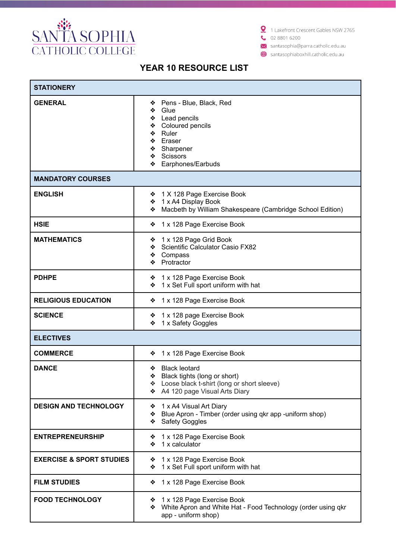

1 Lakefront Crescent Gables NSW 2765  $\bullet$  02 8801 6200

X santasophia@parra.catholic.edu.au

santasophiaboxhill.catholic.edu.au

| <b>STATIONERY</b>                   |                                                                                                                                                                 |  |
|-------------------------------------|-----------------------------------------------------------------------------------------------------------------------------------------------------------------|--|
| <b>GENERAL</b>                      | Pens - Blue, Black, Red<br>❖<br>Glue<br>❖<br>❖ Lead pencils<br>❖ Coloured pencils<br>❖ Ruler<br>❖ Eraser<br>❖ Sharpener<br>❖ Scissors<br>Earphones/Earbuds<br>❖ |  |
| <b>MANDATORY COURSES</b>            |                                                                                                                                                                 |  |
| <b>ENGLISH</b>                      | ❖ 1 X 128 Page Exercise Book<br>❖ 1 x A4 Display Book<br>Macbeth by William Shakespeare (Cambridge School Edition)<br>❖                                         |  |
| <b>HSIE</b>                         | 1 x 128 Page Exercise Book<br>❖                                                                                                                                 |  |
| <b>MATHEMATICS</b>                  | 1 x 128 Page Grid Book<br>❖<br>Scientific Calculator Casio FX82<br>❖<br>Compass<br>❖<br>❖ Protractor                                                            |  |
| <b>PDHPE</b>                        | ❖ 1 x 128 Page Exercise Book<br>❖ 1 x Set Full sport uniform with hat                                                                                           |  |
| <b>RELIGIOUS EDUCATION</b>          | ❖ 1 x 128 Page Exercise Book                                                                                                                                    |  |
| <b>SCIENCE</b>                      | ❖ 1 x 128 page Exercise Book<br>1 x Safety Goggles<br>❖                                                                                                         |  |
| <b>ELECTIVES</b>                    |                                                                                                                                                                 |  |
| <b>COMMERCE</b>                     | 1 x 128 Page Exercise Book<br>❖                                                                                                                                 |  |
| <b>DANCE</b>                        | <b>Black leotard</b><br>Black tights (long or short)<br>❖<br>❖ Loose black t-shirt (long or short sleeve)<br>❖ A4 120 page Visual Arts Diary                    |  |
| <b>DESIGN AND TECHNOLOGY</b>        | ❖ 1 x A4 Visual Art Diary<br>Blue Apron - Timber (order using qkr app -uniform shop)<br>❖<br><b>Safety Goggles</b><br>❖                                         |  |
| <b>ENTREPRENEURSHIP</b>             | ❖ 1 x 128 Page Exercise Book<br>❖ 1 x calculator                                                                                                                |  |
| <b>EXERCISE &amp; SPORT STUDIES</b> | 1 x 128 Page Exercise Book<br>❖<br>1 x Set Full sport uniform with hat<br>❖                                                                                     |  |
| <b>FILM STUDIES</b>                 | 1 x 128 Page Exercise Book<br>❖                                                                                                                                 |  |
| <b>FOOD TECHNOLOGY</b>              | 1 x 128 Page Exercise Book<br>❖<br>White Apron and White Hat - Food Technology (order using qkr<br>❖<br>app - uniform shop)                                     |  |

## YEAR 10 RESOURCE LIST